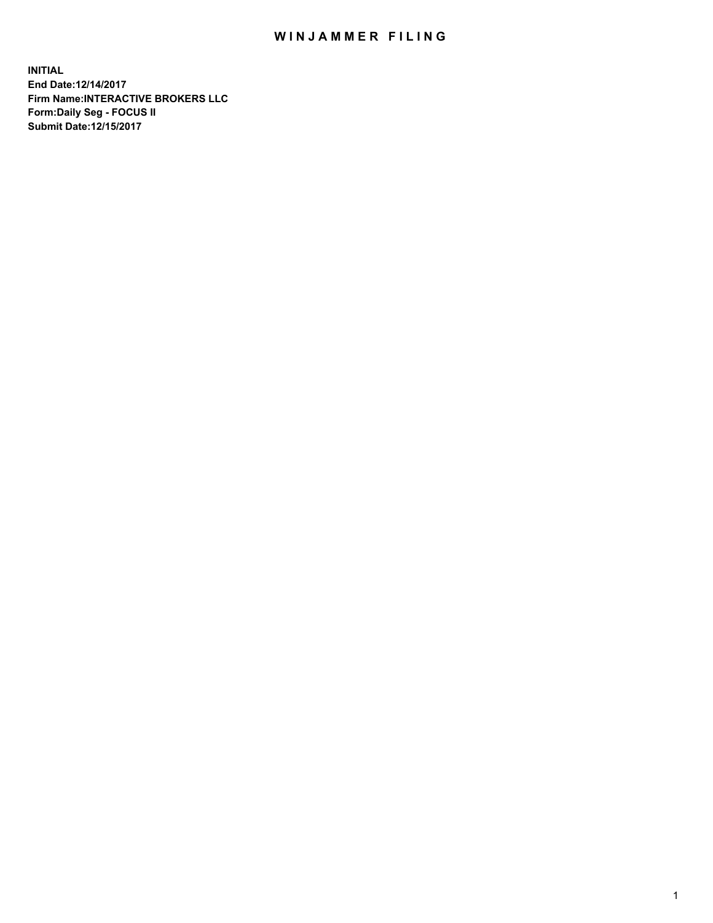## WIN JAMMER FILING

**INITIAL End Date:12/14/2017 Firm Name:INTERACTIVE BROKERS LLC Form:Daily Seg - FOCUS II Submit Date:12/15/2017**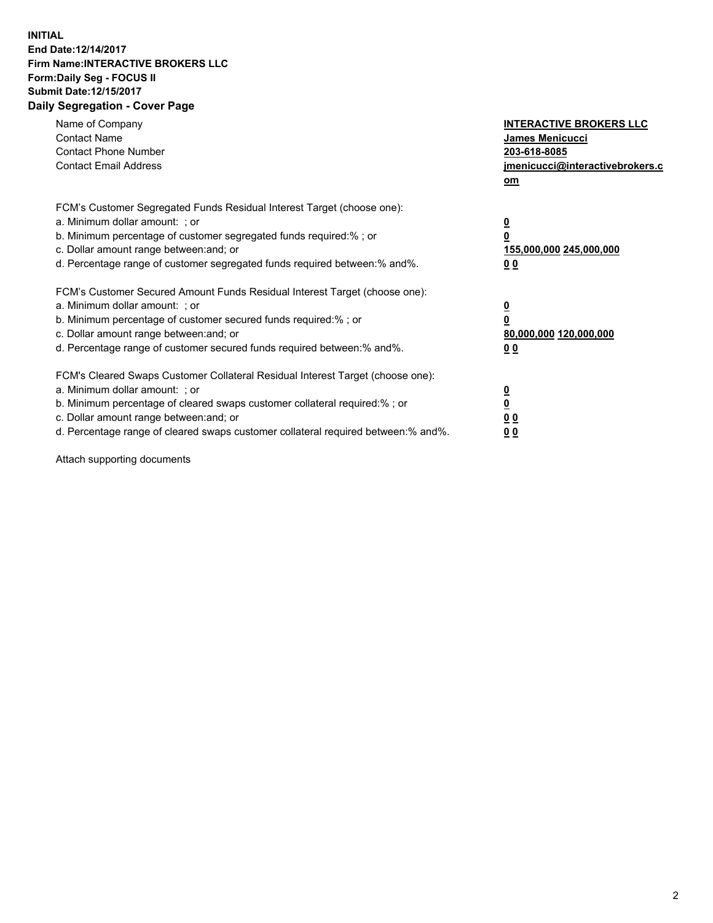## **INITIAL End Date:12/14/2017 Firm Name:INTERACTIVE BROKERS LLC Form:Daily Seg - FOCUS II Submit Date:12/15/2017 Daily Segregation - Cover Page**

| Name of Company<br><b>Contact Name</b><br><b>Contact Phone Number</b><br><b>Contact Email Address</b>                                                                                                                                                                                                                          | <b>INTERACTIVE BROKERS LLC</b><br><b>James Menicucci</b><br>203-618-8085<br>jmenicucci@interactivebrokers.c<br>om |
|--------------------------------------------------------------------------------------------------------------------------------------------------------------------------------------------------------------------------------------------------------------------------------------------------------------------------------|-------------------------------------------------------------------------------------------------------------------|
| FCM's Customer Segregated Funds Residual Interest Target (choose one):<br>a. Minimum dollar amount: ; or<br>b. Minimum percentage of customer segregated funds required:%; or<br>c. Dollar amount range between: and; or<br>d. Percentage range of customer segregated funds required between:% and%.                          | $\overline{\mathbf{0}}$<br>0<br>155,000,000 245,000,000<br>0 <sub>0</sub>                                         |
| FCM's Customer Secured Amount Funds Residual Interest Target (choose one):<br>a. Minimum dollar amount: ; or<br>b. Minimum percentage of customer secured funds required:%; or<br>c. Dollar amount range between: and; or<br>d. Percentage range of customer secured funds required between: % and %.                          | $\overline{\mathbf{0}}$<br>0<br>80,000,000 120,000,000<br>0 <sub>0</sub>                                          |
| FCM's Cleared Swaps Customer Collateral Residual Interest Target (choose one):<br>a. Minimum dollar amount: ; or<br>b. Minimum percentage of cleared swaps customer collateral required:% ; or<br>c. Dollar amount range between: and; or<br>d. Percentage range of cleared swaps customer collateral required between:% and%. | $\overline{\mathbf{0}}$<br>$\overline{\mathbf{0}}$<br>0 <sub>0</sub><br><u>00</u>                                 |

Attach supporting documents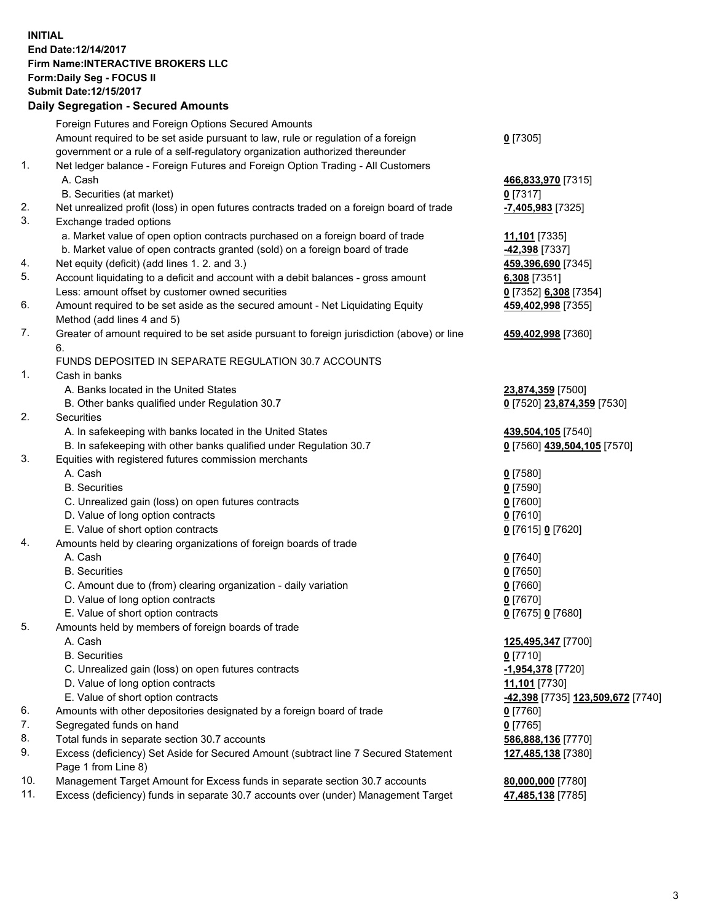## **INITIAL End Date:12/14/2017 Firm Name:INTERACTIVE BROKERS LLC Form:Daily Seg - FOCUS II Submit Date:12/15/2017**<br>**Daily Segregation - Secured Amounts Daily Segregation - Secured**

|     | Daily Segregation - Secured Amounts                                                         |                                   |
|-----|---------------------------------------------------------------------------------------------|-----------------------------------|
|     | Foreign Futures and Foreign Options Secured Amounts                                         |                                   |
|     | Amount required to be set aside pursuant to law, rule or regulation of a foreign            | $0$ [7305]                        |
|     | government or a rule of a self-regulatory organization authorized thereunder                |                                   |
| 1.  | Net ledger balance - Foreign Futures and Foreign Option Trading - All Customers             |                                   |
|     | A. Cash                                                                                     | 466,833,970 [7315]                |
|     | B. Securities (at market)                                                                   | $0$ [7317]                        |
| 2.  | Net unrealized profit (loss) in open futures contracts traded on a foreign board of trade   | -7,405,983 [7325]                 |
| 3.  | Exchange traded options                                                                     |                                   |
|     | a. Market value of open option contracts purchased on a foreign board of trade              | 11,101 [7335]                     |
|     | b. Market value of open contracts granted (sold) on a foreign board of trade                | -42,398 [7337]                    |
| 4.  | Net equity (deficit) (add lines 1.2. and 3.)                                                | 459,396,690 [7345]                |
| 5.  | Account liquidating to a deficit and account with a debit balances - gross amount           | 6,308 [7351]                      |
|     | Less: amount offset by customer owned securities                                            | 0 [7352] 6,308 [7354]             |
| 6.  | Amount required to be set aside as the secured amount - Net Liquidating Equity              | 459,402,998 [7355]                |
|     | Method (add lines 4 and 5)                                                                  |                                   |
| 7.  | Greater of amount required to be set aside pursuant to foreign jurisdiction (above) or line | 459,402,998 [7360]                |
|     | 6.                                                                                          |                                   |
|     | FUNDS DEPOSITED IN SEPARATE REGULATION 30.7 ACCOUNTS                                        |                                   |
| 1.  | Cash in banks                                                                               |                                   |
|     | A. Banks located in the United States                                                       | 23,874,359 [7500]                 |
|     | B. Other banks qualified under Regulation 30.7                                              | 0 [7520] 23,874,359 [7530]        |
| 2.  | Securities                                                                                  |                                   |
|     | A. In safekeeping with banks located in the United States                                   | 439,504,105 [7540]                |
|     | B. In safekeeping with other banks qualified under Regulation 30.7                          | 0 [7560] 439,504,105 [7570]       |
| 3.  | Equities with registered futures commission merchants                                       |                                   |
|     | A. Cash                                                                                     | $0$ [7580]                        |
|     | <b>B.</b> Securities                                                                        | $0$ [7590]                        |
|     | C. Unrealized gain (loss) on open futures contracts                                         | $0$ [7600]                        |
|     | D. Value of long option contracts                                                           | $0$ [7610]                        |
|     | E. Value of short option contracts                                                          |                                   |
| 4.  | Amounts held by clearing organizations of foreign boards of trade                           | 0 [7615] 0 [7620]                 |
|     | A. Cash                                                                                     |                                   |
|     |                                                                                             | 0 [7640]                          |
|     | <b>B.</b> Securities                                                                        | $0$ [7650]                        |
|     | C. Amount due to (from) clearing organization - daily variation                             | $0$ [7660]                        |
|     | D. Value of long option contracts                                                           | $0$ [7670]                        |
|     | E. Value of short option contracts                                                          | 0 [7675] 0 [7680]                 |
| 5.  | Amounts held by members of foreign boards of trade                                          |                                   |
|     | A. Cash                                                                                     | 125,495,347 [7700]                |
|     | <b>B.</b> Securities                                                                        | $0$ [7710]                        |
|     | C. Unrealized gain (loss) on open futures contracts                                         | -1,954,378 [7720]                 |
|     | D. Value of long option contracts                                                           | 11,101 [7730]                     |
|     | E. Value of short option contracts                                                          | -42,398 [7735] 123,509,672 [7740] |
| 6.  | Amounts with other depositories designated by a foreign board of trade                      | $0$ [7760]                        |
| 7.  | Segregated funds on hand                                                                    | $0$ [7765]                        |
| 8.  | Total funds in separate section 30.7 accounts                                               | 586,888,136 [7770]                |
| 9.  | Excess (deficiency) Set Aside for Secured Amount (subtract line 7 Secured Statement         | 127,485,138 [7380]                |
|     | Page 1 from Line 8)                                                                         |                                   |
| 10. | Management Target Amount for Excess funds in separate section 30.7 accounts                 | 80,000,000 [7780]                 |
| 11. | Excess (deficiency) funds in separate 30.7 accounts over (under) Management Target          | 47,485,138 [7785]                 |
|     |                                                                                             |                                   |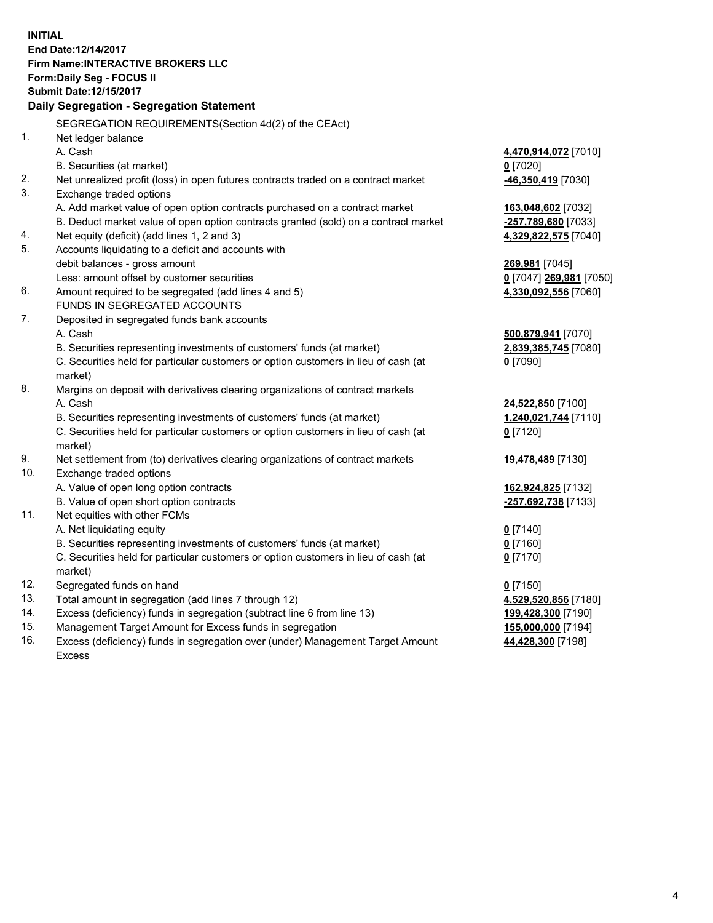**INITIAL End Date:12/14/2017 Firm Name:INTERACTIVE BROKERS LLC Form:Daily Seg - FOCUS II Submit Date:12/15/2017 Daily Segregation - Segregation Statement** SEGREGATION REQUIREMENTS(Section 4d(2) of the CEAct) 1. Net ledger balance A. Cash **4,470,914,072** [7010] B. Securities (at market) **0** [7020] 2. Net unrealized profit (loss) in open futures contracts traded on a contract market **-46,350,419** [7030] 3. Exchange traded options A. Add market value of open option contracts purchased on a contract market **163,048,602** [7032] B. Deduct market value of open option contracts granted (sold) on a contract market **-257,789,680** [7033] 4. Net equity (deficit) (add lines 1, 2 and 3) **4,329,822,575** [7040] 5. Accounts liquidating to a deficit and accounts with debit balances - gross amount **269,981** [7045] Less: amount offset by customer securities **0** [7047] **269,981** [7050] 6. Amount required to be segregated (add lines 4 and 5) **4,330,092,556** [7060] FUNDS IN SEGREGATED ACCOUNTS 7. Deposited in segregated funds bank accounts A. Cash **500,879,941** [7070] B. Securities representing investments of customers' funds (at market) **2,839,385,745** [7080] C. Securities held for particular customers or option customers in lieu of cash (at market) **0** [7090] 8. Margins on deposit with derivatives clearing organizations of contract markets A. Cash **24,522,850** [7100] B. Securities representing investments of customers' funds (at market) **1,240,021,744** [7110] C. Securities held for particular customers or option customers in lieu of cash (at market) **0** [7120] 9. Net settlement from (to) derivatives clearing organizations of contract markets **19,478,489** [7130] 10. Exchange traded options A. Value of open long option contracts **162,924,825** [7132] B. Value of open short option contracts **-257,692,738** [7133] 11. Net equities with other FCMs A. Net liquidating equity **0** [7140] B. Securities representing investments of customers' funds (at market) **0** [7160] C. Securities held for particular customers or option customers in lieu of cash (at market) **0** [7170] 12. Segregated funds on hand **0** [7150] 13. Total amount in segregation (add lines 7 through 12) **4,529,520,856** [7180] 14. Excess (deficiency) funds in segregation (subtract line 6 from line 13) **199,428,300** [7190] 15. Management Target Amount for Excess funds in segregation **155,000,000** [7194]

16. Excess (deficiency) funds in segregation over (under) Management Target Amount Excess

**44,428,300** [7198]